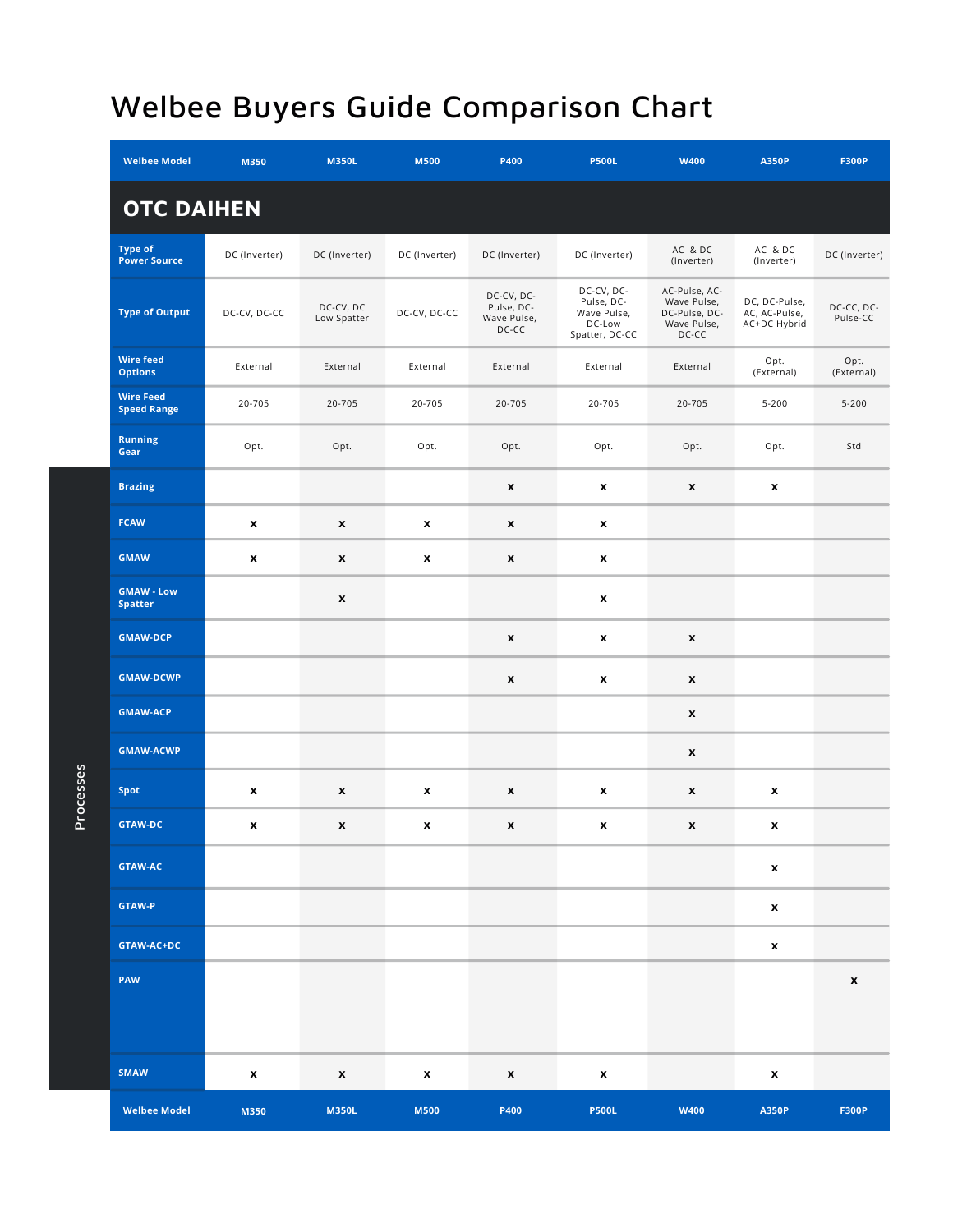| <b>Welbee Model</b><br>M350            |               | <b>M350L</b>             | <b>M500</b>   | P400                                             | <b>P500L</b>                                                        | <b>W400</b>                                                           | <b>A350P</b>                                   | <b>F300P</b>           |  |
|----------------------------------------|---------------|--------------------------|---------------|--------------------------------------------------|---------------------------------------------------------------------|-----------------------------------------------------------------------|------------------------------------------------|------------------------|--|
| <b>OTC DAIHEN</b>                      |               |                          |               |                                                  |                                                                     |                                                                       |                                                |                        |  |
| <b>Type of</b><br><b>Power Source</b>  | DC (Inverter) | DC (Inverter)            | DC (Inverter) | DC (Inverter)                                    | DC (Inverter)                                                       | AC & DC<br>(Inverter)                                                 | AC & DC<br>(Inverter)                          | DC (Inverter)          |  |
| <b>Type of Output</b>                  | DC-CV, DC-CC  | DC-CV, DC<br>Low Spatter | DC-CV, DC-CC  | DC-CV, DC-<br>Pulse, DC-<br>Wave Pulse,<br>DC-CC | DC-CV, DC-<br>Pulse, DC-<br>Wave Pulse,<br>DC-Low<br>Spatter, DC-CC | AC-Pulse, AC-<br>Wave Pulse,<br>DC-Pulse, DC-<br>Wave Pulse,<br>DC-CC | DC, DC-Pulse,<br>AC, AC-Pulse,<br>AC+DC Hybrid | DC-CC, DC-<br>Pulse-CC |  |
| <b>Wire feed</b><br><b>Options</b>     | External      | External                 | External      | External                                         | External<br>External                                                |                                                                       | Opt.<br>(External)                             | Opt.<br>(External)     |  |
| <b>Wire Feed</b><br><b>Speed Range</b> | 20-705        | 20-705                   | 20-705        | 20-705                                           | 20-705                                                              | 20-705                                                                | $5 - 200$                                      | $5 - 200$              |  |
| <b>Running</b><br>Gear                 | Opt.<br>Opt.  |                          | Opt.          | Opt.                                             | Opt.                                                                | Opt.                                                                  | Opt.                                           | Std                    |  |
| <b>Brazing</b>                         |               |                          |               | $\boldsymbol{\mathsf{x}}$                        | $\boldsymbol{x}$                                                    | $\boldsymbol{x}$                                                      | $\boldsymbol{x}$                               |                        |  |
| <b>FCAW</b>                            | x             | $\pmb{\mathsf{x}}$       | x             | $\boldsymbol{\mathsf{x}}$                        | $\pmb{\mathsf{x}}$                                                  |                                                                       |                                                |                        |  |
| <b>GMAW</b>                            | x             | $\pmb{\mathsf{x}}$       | x             | $\pmb{\mathsf{x}}$                               | $\pmb{\mathsf{x}}$                                                  |                                                                       |                                                |                        |  |
| <b>GMAW - Low</b><br><b>Spatter</b>    |               | $\pmb{\mathsf{x}}$       |               |                                                  | $\pmb{\mathsf{x}}$                                                  |                                                                       |                                                |                        |  |
| <b>GMAW-DCP</b>                        |               |                          |               | $\pmb{\mathsf{x}}$                               | $\pmb{\mathsf{x}}$                                                  | $\pmb{\mathsf{x}}$                                                    |                                                |                        |  |
| <b>GMAW-DCWP</b>                       |               |                          |               | $\boldsymbol{\mathsf{x}}$                        | $\pmb{\mathsf{x}}$                                                  | $\pmb{\mathsf{x}}$                                                    |                                                |                        |  |
| <b>GMAW-ACP</b>                        |               |                          |               |                                                  |                                                                     | $\pmb{\mathsf{x}}$                                                    |                                                |                        |  |
| <b>GMAW-ACWP</b>                       |               |                          |               |                                                  |                                                                     | x                                                                     |                                                |                        |  |
| Spot                                   | x             | X                        | x             | X                                                | x                                                                   | x                                                                     | x                                              |                        |  |
| <b>GTAW-DC</b>                         | x             | $\pmb{\mathsf{x}}$       | X             | $\pmb{\mathsf{x}}$                               | $\pmb{\mathsf{x}}$                                                  | $\pmb{\mathsf{x}}$                                                    | x                                              |                        |  |
| <b>GTAW-AC</b>                         |               |                          |               |                                                  |                                                                     |                                                                       | x                                              |                        |  |
| <b>GTAW-P</b>                          |               |                          |               |                                                  |                                                                     |                                                                       | $\pmb{\mathsf{x}}$                             |                        |  |
| GTAW-AC+DC                             |               |                          |               |                                                  |                                                                     |                                                                       | X                                              |                        |  |
| PAW                                    |               |                          |               |                                                  |                                                                     |                                                                       |                                                | $\pmb{\mathsf{x}}$     |  |
| <b>SMAW</b>                            | x             | $\pmb{\mathsf{x}}$       | X             | $\pmb{\mathsf{x}}$                               | X                                                                   |                                                                       | X                                              |                        |  |
| <b>Welbee Model</b>                    | M350          | <b>M350L</b>             | <b>M500</b>   | P400                                             | <b>P500L</b>                                                        | <b>W400</b>                                                           | <b>A350P</b>                                   | <b>F300P</b>           |  |